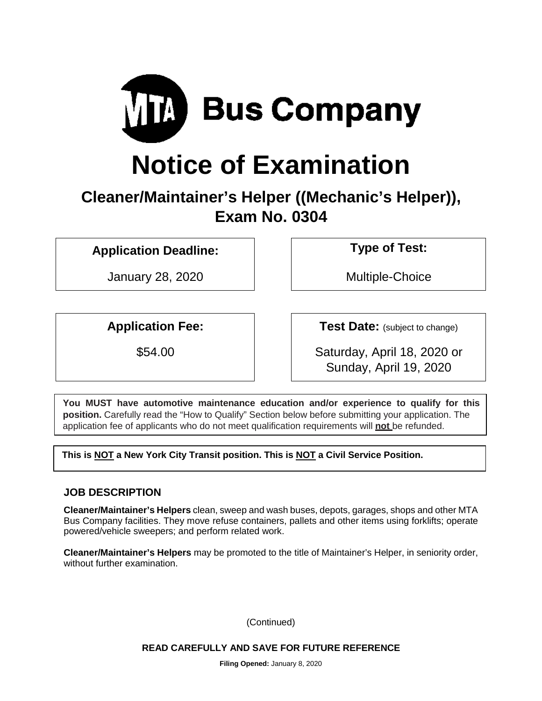

# **Notice of Examination**

# **Cleaner/Maintainer's Helper ((Mechanic's Helper)), Exam No. 0304**

**Application Deadline: Type of Test:** 

January 28, 2020 | | | Multiple-Choice

**Application Fee: Test Date:** (subject to change)

\$54.00 Saturday, April 18, 2020 or Sunday, April 19, 2020

**You MUST have automotive maintenance education and/or experience to qualify for this position.** Carefully read the "How to Qualify" Section below before submitting your application. The application fee of applicants who do not meet qualification requirements will **not** be refunded.

**This is NOT a New York City Transit position. This is NOT a Civil Service Position.**

# **JOB DESCRIPTION**

**Cleaner/Maintainer's Helpers** clean, sweep and wash buses, depots, garages, shops and other MTA Bus Company facilities. They move refuse containers, pallets and other items using forklifts; operate powered/vehicle sweepers; and perform related work.

**Cleaner/Maintainer's Helpers** may be promoted to the title of Maintainer's Helper, in seniority order, without further examination.

(Continued)

**READ CAREFULLY AND SAVE FOR FUTURE REFERENCE**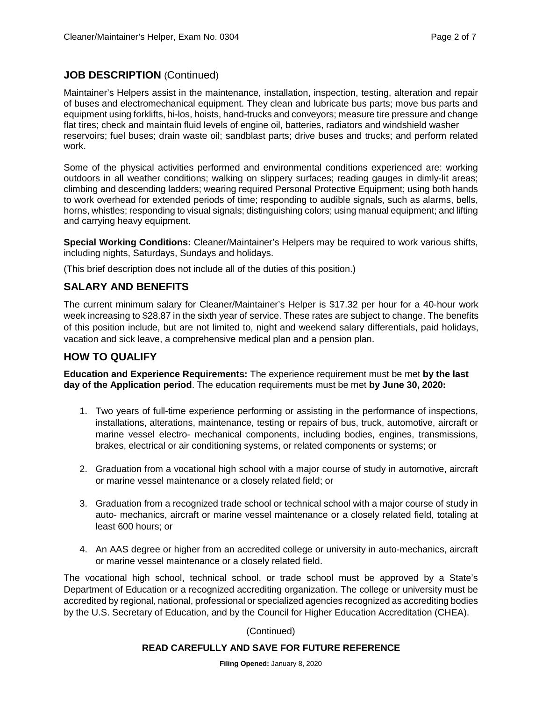# **JOB DESCRIPTION** (Continued)

Maintainer's Helpers assist in the maintenance, installation, inspection, testing, alteration and repair of buses and electromechanical equipment. They clean and lubricate bus parts; move bus parts and equipment using forklifts, hi-los, hoists, hand-trucks and conveyors; measure tire pressure and change flat tires; check and maintain fluid levels of engine oil, batteries, radiators and windshield washer reservoirs; fuel buses; drain waste oil; sandblast parts; drive buses and trucks; and perform related work.

Some of the physical activities performed and environmental conditions experienced are: working outdoors in all weather conditions; walking on slippery surfaces; reading gauges in dimly-lit areas; climbing and descending ladders; wearing required Personal Protective Equipment; using both hands to work overhead for extended periods of time; responding to audible signals, such as alarms, bells, horns, whistles; responding to visual signals; distinguishing colors; using manual equipment; and lifting and carrying heavy equipment.

**Special Working Conditions:** Cleaner/Maintainer's Helpers may be required to work various shifts, including nights, Saturdays, Sundays and holidays.

(This brief description does not include all of the duties of this position.)

# **SALARY AND BENEFITS**

The current minimum salary for Cleaner/Maintainer's Helper is \$17.32 per hour for a 40-hour work week increasing to \$28.87 in the sixth year of service. These rates are subject to change. The benefits of this position include, but are not limited to, night and weekend salary differentials, paid holidays, vacation and sick leave, a comprehensive medical plan and a pension plan.

#### **HOW TO QUALIFY**

**Education and Experience Requirements:** The experience requirement must be met **by the last day of the Application period**. The education requirements must be met **by June 30, 2020:**

- 1. Two years of full-time experience performing or assisting in the performance of inspections, installations, alterations, maintenance, testing or repairs of bus, truck, automotive, aircraft or marine vessel electro- mechanical components, including bodies, engines, transmissions, brakes, electrical or air conditioning systems, or related components or systems; or
- 2. Graduation from a vocational high school with a major course of study in automotive, aircraft or marine vessel maintenance or a closely related field; or
- 3. Graduation from a recognized trade school or technical school with a major course of study in auto- mechanics, aircraft or marine vessel maintenance or a closely related field, totaling at least 600 hours; or
- 4. An AAS degree or higher from an accredited college or university in auto-mechanics, aircraft or marine vessel maintenance or a closely related field.

The vocational high school, technical school, or trade school must be approved by a State's Department of Education or a recognized accrediting organization. The college or university must be accredited by regional, national, professional or specialized agencies recognized as accrediting bodies by the U.S. Secretary of Education, and by the Council for Higher Education Accreditation (CHEA).

(Continued)

#### **READ CAREFULLY AND SAVE FOR FUTURE REFERENCE**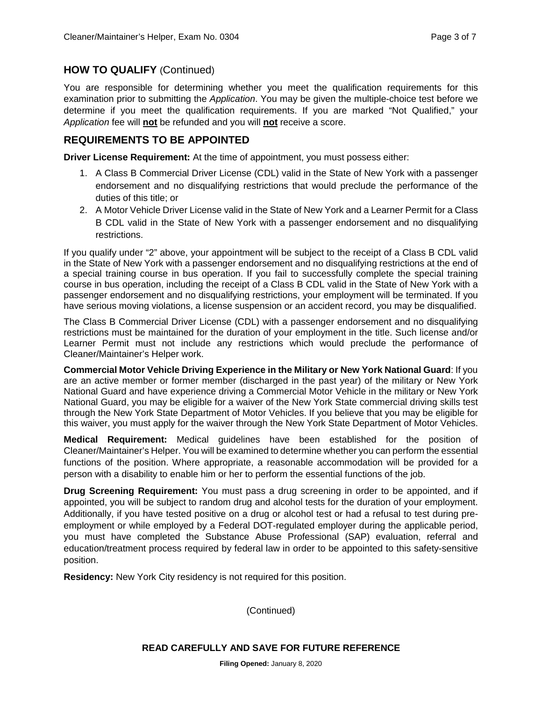### **HOW TO QUALIFY** (Continued)

You are responsible for determining whether you meet the qualification requirements for this examination prior to submitting the *Application*. You may be given the multiple-choice test before we determine if you meet the qualification requirements. If you are marked "Not Qualified," your *Application* fee will **not** be refunded and you will **not** receive a score.

#### **REQUIREMENTS TO BE APPOINTED**

**Driver License Requirement:** At the time of appointment, you must possess either:

- 1. A Class B Commercial Driver License (CDL) valid in the State of New York with a passenger endorsement and no disqualifying restrictions that would preclude the performance of the duties of this title; or
- 2. A Motor Vehicle Driver License valid in the State of New York and a Learner Permit for a Class B CDL valid in the State of New York with a passenger endorsement and no disqualifying restrictions.

If you qualify under "2" above, your appointment will be subject to the receipt of a Class B CDL valid in the State of New York with a passenger endorsement and no disqualifying restrictions at the end of a special training course in bus operation. If you fail to successfully complete the special training course in bus operation, including the receipt of a Class B CDL valid in the State of New York with a passenger endorsement and no disqualifying restrictions, your employment will be terminated. If you have serious moving violations, a license suspension or an accident record, you may be disqualified.

The Class B Commercial Driver License (CDL) with a passenger endorsement and no disqualifying restrictions must be maintained for the duration of your employment in the title. Such license and/or Learner Permit must not include any restrictions which would preclude the performance of Cleaner/Maintainer's Helper work.

**Commercial Motor Vehicle Driving Experience in the Military or New York National Guard**: If you are an active member or former member (discharged in the past year) of the military or New York National Guard and have experience driving a Commercial Motor Vehicle in the military or New York National Guard, you may be eligible for a waiver of the New York State commercial driving skills test through the New York State Department of Motor Vehicles. If you believe that you may be eligible for this waiver, you must apply for the waiver through the New York State Department of Motor Vehicles.

**Medical Requirement:** Medical guidelines have been established for the position of Cleaner/Maintainer's Helper. You will be examined to determine whether you can perform the essential functions of the position. Where appropriate, a reasonable accommodation will be provided for a person with a disability to enable him or her to perform the essential functions of the job.

**Drug Screening Requirement:** You must pass a drug screening in order to be appointed, and if appointed, you will be subject to random drug and alcohol tests for the duration of your employment. Additionally, if you have tested positive on a drug or alcohol test or had a refusal to test during preemployment or while employed by a Federal DOT-regulated employer during the applicable period, you must have completed the Substance Abuse Professional (SAP) evaluation, referral and education/treatment process required by federal law in order to be appointed to this safety-sensitive position.

**Residency:** New York City residency is not required for this position.

(Continued)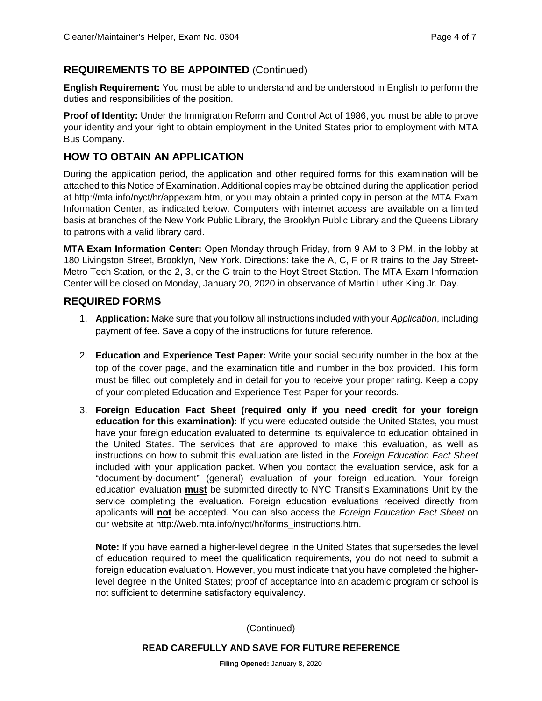# **REQUIREMENTS TO BE APPOINTED** (Continued)

**English Requirement:** You must be able to understand and be understood in English to perform the duties and responsibilities of the position.

**Proof of Identity:** Under the Immigration Reform and Control Act of 1986, you must be able to prove your identity and your right to obtain employment in the United States prior to employment with MTA Bus Company.

# **HOW TO OBTAIN AN APPLICATION**

During the application period, the application and other required forms for this examination will be attached to this Notice of Examination. Additional copies may be obtained during the application period at http://mta.info/nyct/hr/appexam.htm, or you may obtain a printed copy in person at the MTA Exam Information Center, as indicated below. Computers with internet access are available on a limited basis at branches of the New York Public Library, the Brooklyn Public Library and the Queens Library to patrons with a valid library card.

**MTA Exam Information Center:** Open Monday through Friday, from 9 AM to 3 PM, in the lobby at 180 Livingston Street, Brooklyn, New York. Directions: take the A, C, F or R trains to the Jay Street-Metro Tech Station, or the 2, 3, or the G train to the Hoyt Street Station. The MTA Exam Information Center will be closed on Monday, January 20, 2020 in observance of Martin Luther King Jr. Day.

#### **REQUIRED FORMS**

- 1. **Application:** Make sure that you follow all instructions included with your *Application*, including payment of fee. Save a copy of the instructions for future reference.
- 2. **Education and Experience Test Paper:** Write your social security number in the box at the top of the cover page, and the examination title and number in the box provided. This form must be filled out completely and in detail for you to receive your proper rating. Keep a copy of your completed Education and Experience Test Paper for your records.
- 3. **Foreign Education Fact Sheet (required only if you need credit for your foreign education for this examination):** If you were educated outside the United States, you must have your foreign education evaluated to determine its equivalence to education obtained in the United States. The services that are approved to make this evaluation, as well as instructions on how to submit this evaluation are listed in the *Foreign Education Fact Sheet* included with your application packet. When you contact the evaluation service, ask for a "document-by-document" (general) evaluation of your foreign education. Your foreign education evaluation **must** be submitted directly to NYC Transit's Examinations Unit by the service completing the evaluation. Foreign education evaluations received directly from applicants will **not** be accepted. You can also access the *Foreign Education Fact Sheet* on our website at http://web.mta.info/nyct/hr/forms\_instructions.htm.

**Note:** If you have earned a higher-level degree in the United States that supersedes the level of education required to meet the qualification requirements, you do not need to submit a foreign education evaluation. However, you must indicate that you have completed the higherlevel degree in the United States; proof of acceptance into an academic program or school is not sufficient to determine satisfactory equivalency.

(Continued)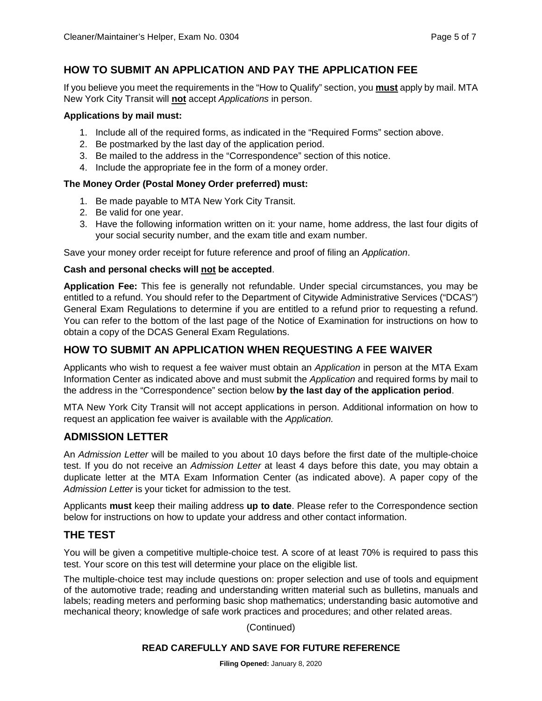# **HOW TO SUBMIT AN APPLICATION AND PAY THE APPLICATION FEE**

If you believe you meet the requirements in the "How to Qualify" section, you **must** apply by mail. MTA New York City Transit will **not** accept *Applications* in person.

#### **Applications by mail must:**

- 1. Include all of the required forms, as indicated in the "Required Forms" section above.
- 2. Be postmarked by the last day of the application period.
- 3. Be mailed to the address in the "Correspondence" section of this notice.
- 4. Include the appropriate fee in the form of a money order.

#### **The Money Order (Postal Money Order preferred) must:**

- 1. Be made payable to MTA New York City Transit.
- 2. Be valid for one year.
- 3. Have the following information written on it: your name, home address, the last four digits of your social security number, and the exam title and exam number.

Save your money order receipt for future reference and proof of filing an *Application*.

#### **Cash and personal checks will not be accepted**.

**Application Fee:** This fee is generally not refundable. Under special circumstances, you may be entitled to a refund. You should refer to the Department of Citywide Administrative Services ("DCAS") General Exam Regulations to determine if you are entitled to a refund prior to requesting a refund. You can refer to the bottom of the last page of the Notice of Examination for instructions on how to obtain a copy of the DCAS General Exam Regulations.

# **HOW TO SUBMIT AN APPLICATION WHEN REQUESTING A FEE WAIVER**

Applicants who wish to request a fee waiver must obtain an *Application* in person at the MTA Exam Information Center as indicated above and must submit the *Application* and required forms by mail to the address in the "Correspondence" section below **by the last day of the application period**.

MTA New York City Transit will not accept applications in person. Additional information on how to request an application fee waiver is available with the *Application.*

#### **ADMISSION LETTER**

An *Admission Letter* will be mailed to you about 10 days before the first date of the multiple-choice test. If you do not receive an *Admission Letter* at least 4 days before this date, you may obtain a duplicate letter at the MTA Exam Information Center (as indicated above). A paper copy of the *Admission Letter* is your ticket for admission to the test.

Applicants **must** keep their mailing address **up to date**. Please refer to the Correspondence section below for instructions on how to update your address and other contact information.

# **THE TEST**

You will be given a competitive multiple-choice test. A score of at least 70% is required to pass this test. Your score on this test will determine your place on the eligible list.

The multiple-choice test may include questions on: proper selection and use of tools and equipment of the automotive trade; reading and understanding written material such as bulletins, manuals and labels; reading meters and performing basic shop mathematics; understanding basic automotive and mechanical theory; knowledge of safe work practices and procedures; and other related areas.

(Continued)

#### **READ CAREFULLY AND SAVE FOR FUTURE REFERENCE**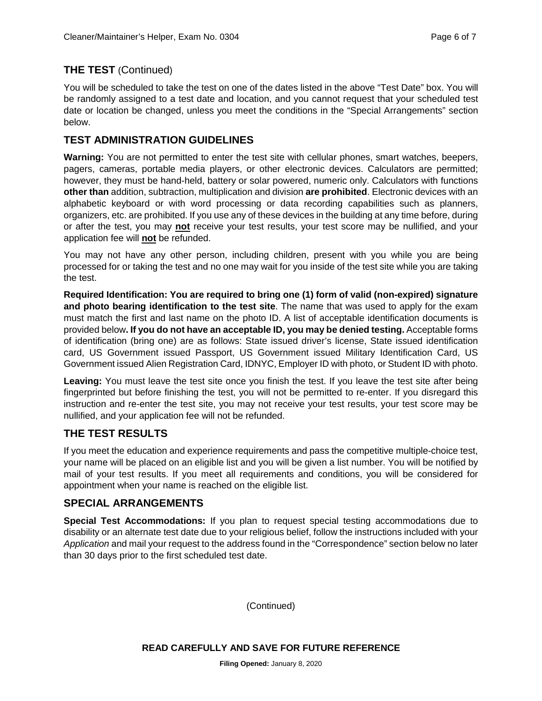# **THE TEST** (Continued)

You will be scheduled to take the test on one of the dates listed in the above "Test Date" box. You will be randomly assigned to a test date and location, and you cannot request that your scheduled test date or location be changed, unless you meet the conditions in the "Special Arrangements" section below.

# **TEST ADMINISTRATION GUIDELINES**

**Warning:** You are not permitted to enter the test site with cellular phones, smart watches, beepers, pagers, cameras, portable media players, or other electronic devices. Calculators are permitted; however, they must be hand-held, battery or solar powered, numeric only. Calculators with functions **other than** addition, subtraction, multiplication and division **are prohibited**. Electronic devices with an alphabetic keyboard or with word processing or data recording capabilities such as planners, organizers, etc. are prohibited. If you use any of these devices in the building at any time before, during or after the test, you may **not** receive your test results, your test score may be nullified, and your application fee will **not** be refunded.

You may not have any other person, including children, present with you while you are being processed for or taking the test and no one may wait for you inside of the test site while you are taking the test.

**Required Identification: You are required to bring one (1) form of valid (non-expired) signature and photo bearing identification to the test site**. The name that was used to apply for the exam must match the first and last name on the photo ID. A list of acceptable identification documents is provided below**. If you do not have an acceptable ID, you may be denied testing.** Acceptable forms of identification (bring one) are as follows: State issued driver's license, State issued identification card, US Government issued Passport, US Government issued Military Identification Card, US Government issued Alien Registration Card, IDNYC, Employer ID with photo, or Student ID with photo.

**Leaving:** You must leave the test site once you finish the test. If you leave the test site after being fingerprinted but before finishing the test, you will not be permitted to re-enter. If you disregard this instruction and re-enter the test site, you may not receive your test results, your test score may be nullified, and your application fee will not be refunded.

# **THE TEST RESULTS**

If you meet the education and experience requirements and pass the competitive multiple-choice test, your name will be placed on an eligible list and you will be given a list number. You will be notified by mail of your test results. If you meet all requirements and conditions, you will be considered for appointment when your name is reached on the eligible list.

# **SPECIAL ARRANGEMENTS**

**Special Test Accommodations:** If you plan to request special testing accommodations due to disability or an alternate test date due to your religious belief, follow the instructions included with your *Application* and mail your request to the address found in the "Correspondence" section below no later than 30 days prior to the first scheduled test date.

(Continued)